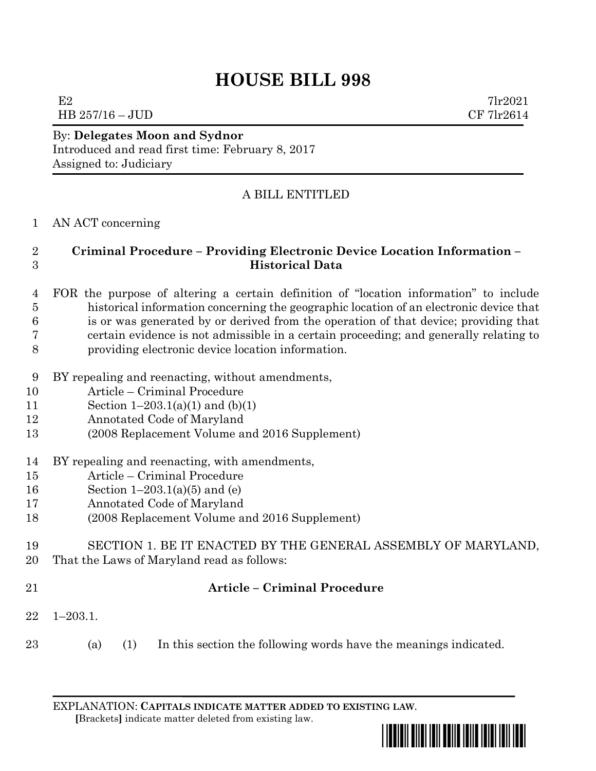# **HOUSE BILL 998**

E2  $7\text{l}r2021$  $\text{HB } 257/16 - \text{JUD}$  CF 7lr2614

### By: **Delegates Moon and Sydnor** Introduced and read first time: February 8, 2017 Assigned to: Judiciary

## A BILL ENTITLED

#### AN ACT concerning

#### **Criminal Procedure – Providing Electronic Device Location Information – Historical Data**

- FOR the purpose of altering a certain definition of "location information" to include historical information concerning the geographic location of an electronic device that is or was generated by or derived from the operation of that device; providing that certain evidence is not admissible in a certain proceeding; and generally relating to providing electronic device location information.
- BY repealing and reenacting, without amendments,
- Article Criminal Procedure
- 11 Section  $1-203.1(a)(1)$  and  $(b)(1)$
- Annotated Code of Maryland
- (2008 Replacement Volume and 2016 Supplement)
- BY repealing and reenacting, with amendments,
- Article Criminal Procedure
- Section 1–203.1(a)(5) and (e)
- Annotated Code of Maryland
- (2008 Replacement Volume and 2016 Supplement)
- SECTION 1. BE IT ENACTED BY THE GENERAL ASSEMBLY OF MARYLAND, That the Laws of Maryland read as follows:
- 

## **Article – Criminal Procedure**

- 1–203.1.
- (a) (1) In this section the following words have the meanings indicated.